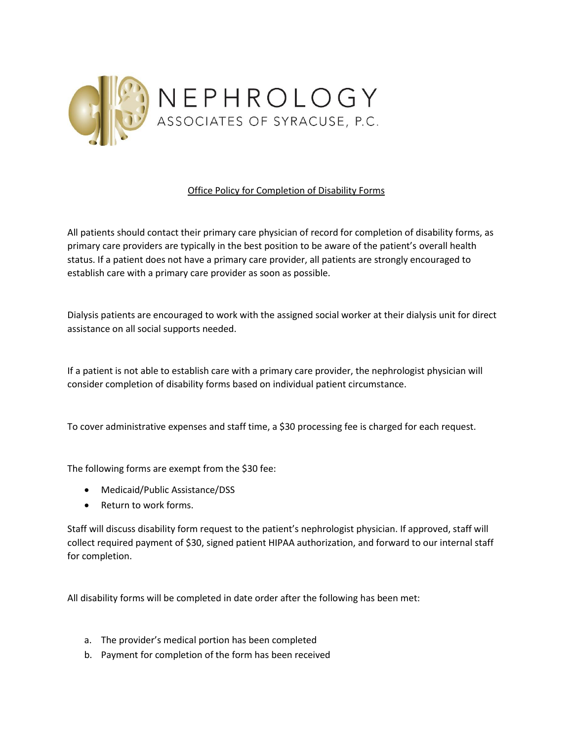

## Office Policy for Completion of Disability Forms

All patients should contact their primary care physician of record for completion of disability forms, as primary care providers are typically in the best position to be aware of the patient's overall health status. If a patient does not have a primary care provider, all patients are strongly encouraged to establish care with a primary care provider as soon as possible.

Dialysis patients are encouraged to work with the assigned social worker at their dialysis unit for direct assistance on all social supports needed.

If a patient is not able to establish care with a primary care provider, the nephrologist physician will consider completion of disability forms based on individual patient circumstance.

To cover administrative expenses and staff time, a \$30 processing fee is charged for each request.

The following forms are exempt from the \$30 fee:

- Medicaid/Public Assistance/DSS
- Return to work forms.

Staff will discuss disability form request to the patient's nephrologist physician. If approved, staff will collect required payment of \$30, signed patient HIPAA authorization, and forward to our internal staff for completion.

All disability forms will be completed in date order after the following has been met:

- a. The provider's medical portion has been completed
- b. Payment for completion of the form has been received